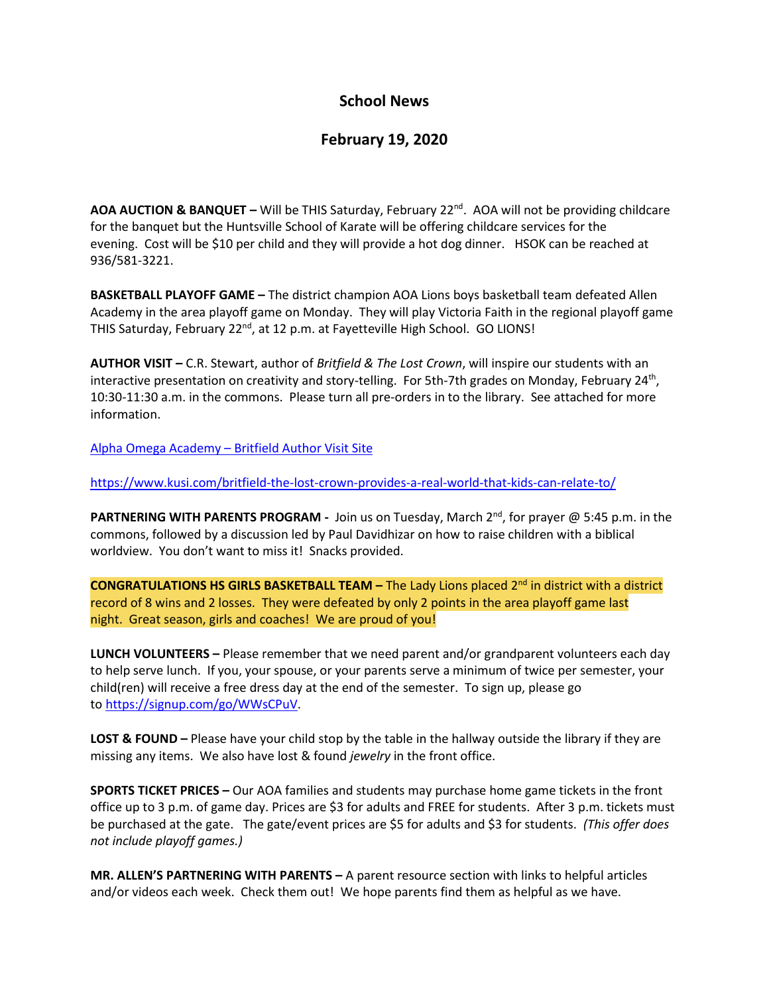## **School News**

## **February 19, 2020**

**AOA AUCTION & BANQUET –** Will be THIS Saturday, February 22nd . AOA will not be providing childcare for the banquet but the Huntsville School of Karate will be offering childcare services for the evening. Cost will be \$10 per child and they will provide a hot dog dinner. HSOK can be reached at 936/581-3221.

**BASKETBALL PLAYOFF GAME –** The district champion AOA Lions boys basketball team defeated Allen Academy in the area playoff game on Monday. They will play Victoria Faith in the regional playoff game THIS Saturday, February 22<sup>nd</sup>, at 12 p.m. at Fayetteville High School. GO LIONS!

**AUTHOR VISIT –** C.R. Stewart, author of *Britfield & The Lost Crown*, will inspire our students with an interactive presentation on creativity and story-telling. For 5th-7th grades on Monday, February 24<sup>th</sup>, 10:30-11:30 a.m. in the commons. Please turn all pre-orders in to the library. See attached for more information.

Alpha Omega Academy – [Britfield Author Visit Site](https://authorvisit.britfield.com/alpha-tx/)

<https://www.kusi.com/britfield-the-lost-crown-provides-a-real-world-that-kids-can-relate-to/>

PARTNERING WITH PARENTS PROGRAM - Join us on Tuesday, March 2<sup>nd</sup>, for prayer @ 5:45 p.m. in the commons, followed by a discussion led by Paul Davidhizar on how to raise children with a biblical worldview. You don't want to miss it! Snacks provided.

**CONGRATULATIONS HS GIRLS BASKETBALL TEAM –** The Lady Lions placed 2nd in district with a district record of 8 wins and 2 losses. They were defeated by only 2 points in the area playoff game last night. Great season, girls and coaches! We are proud of you!

**LUNCH VOLUNTEERS –** Please remember that we need parent and/or grandparent volunteers each day to help serve lunch. If you, your spouse, or your parents serve a minimum of twice per semester, your child(ren) will receive a free dress day at the end of the semester. To sign up, please go to [https://signup.com/go/WWsCPuV.](https://signup.com/go/WWsCPuV)

**LOST & FOUND –** Please have your child stop by the table in the hallway outside the library if they are missing any items. We also have lost & found *jewelry* in the front office.

**SPORTS TICKET PRICES –** Our AOA families and students may purchase home game tickets in the front office up to 3 p.m. of game day. Prices are \$3 for adults and FREE for students. After 3 p.m. tickets must be purchased at the gate. The gate/event prices are \$5 for adults and \$3 for students. *(This offer does not include playoff games.)*

**MR. ALLEN'S PARTNERING WITH PARENTS –** A parent resource section with links to helpful articles and/or videos each week. Check them out! We hope parents find them as helpful as we have.